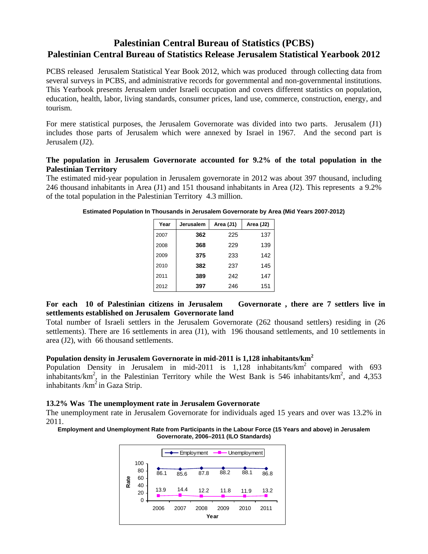# **Palestinian Central Bureau of Statistics (PCBS) Palestinian Central Bureau of Statistics Release Jerusalem Statistical Yearbook 2012**

PCBS released Jerusalem Statistical Year Book 2012, which was produced through collecting data from several surveys in PCBS, and administrative records for governmental and non-governmental institutions. This Yearbook presents Jerusalem under Israeli occupation and covers different statistics on population, education, health, labor, living standards, consumer prices, land use, commerce, construction, energy, and tourism.

For mere statistical purposes, the Jerusalem Governorate was divided into two parts. Jerusalem (J1) includes those parts of Jerusalem which were annexed by Israel in 1967. And the second part is Jerusalem (J2).

#### **The population in Jerusalem Governorate accounted for 9.2% of the total population in the Palestinian Territory**

The estimated mid-year population in Jerusalem governorate in 2012 was about 397 thousand, including 246 thousand inhabitants in Area (J1) and 151 thousand inhabitants in Area (J2). This represents a 9.2% of the total population in the Palestinian Territory 4.3 million.

| Year | Jerusalem | Area (J1) | Area (J2) |
|------|-----------|-----------|-----------|
| 2007 | 362       | 225       | 137       |
| 2008 | 368       | 229       | 139       |
| 2009 | 375       | 233       | 142       |
| 2010 | 382       | 237       | 145       |
| 2011 | 389       | 242       | 147       |
| 2012 | 397       | 246       | 151       |

**Estimated Population In Thousands in Jerusalem Governorate by Area (Mid Years 2007-2012)** 

## **For each 10 of Palestinian citizens in Jerusalem Governorate , there are 7 settlers live in settlements established on Jerusalem Governorate land**

Total number of Israeli settlers in the Jerusalem Governorate (262 thousand settlers) residing in (26 settlements). There are 16 settlements in area (J1), with 196 thousand settlements, and 10 settlements in area (J2), with 66 thousand settlements.

## **Population density in Jerusalem Governorate in mid-2011 is 1,128 inhabitants/km<sup>2</sup>**

Population Density in Jerusalem in mid-2011 is  $1,128$  inhabitants/ $km^2$  compared with 693 inhabitants/km<sup>2</sup>, in the Palestinian Territory while the West Bank is 546 inhabitants/km<sup>2</sup>, and 4,353 inhabitants  $/km<sup>2</sup>$  in Gaza Strip.

## **13.2% Was The unemployment rate in Jerusalem Governorate**

The unemployment rate in Jerusalem Governorate for individuals aged 15 years and over was 13.2% in 2011.

**Employment and Unemployment Rate from Participants in the Labour Force (15 Years and above) in Jerusalem Governorate, 2006–2011 (ILO Standards)**